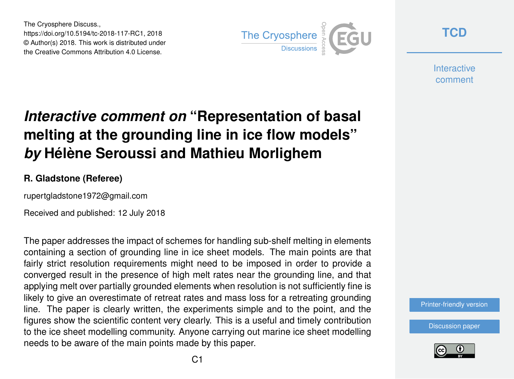The Cryosphere Discuss., https://doi.org/10.5194/tc-2018-117-RC1, 2018 © Author(s) 2018. This work is distributed under the Creative Commons Attribution 4.0 License.



**[TCD](https://www.the-cryosphere-discuss.net/)**

**Interactive** comment

# *Interactive comment on* **"Representation of basal melting at the grounding line in ice flow models"** *by* **Hélène Seroussi and Mathieu Morlighem**

#### **R. Gladstone (Referee)**

rupertgladstone1972@gmail.com

Received and published: 12 July 2018

The paper addresses the impact of schemes for handling sub-shelf melting in elements containing a section of grounding line in ice sheet models. The main points are that fairly strict resolution requirements might need to be imposed in order to provide a converged result in the presence of high melt rates near the grounding line, and that applying melt over partially grounded elements when resolution is not sufficiently fine is likely to give an overestimate of retreat rates and mass loss for a retreating grounding line. The paper is clearly written, the experiments simple and to the point, and the figures show the scientific content very clearly. This is a useful and timely contribution to the ice sheet modelling community. Anyone carrying out marine ice sheet modelling needs to be aware of the main points made by this paper.

[Printer-friendly version](https://www.the-cryosphere-discuss.net/tc-2018-117/tc-2018-117-RC1-print.pdf)

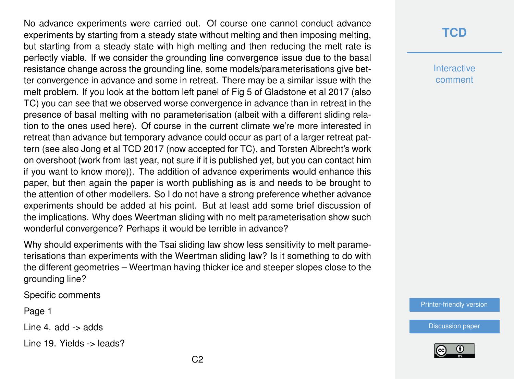No advance experiments were carried out. Of course one cannot conduct advance experiments by starting from a steady state without melting and then imposing melting, but starting from a steady state with high melting and then reducing the melt rate is perfectly viable. If we consider the grounding line convergence issue due to the basal resistance change across the grounding line, some models/parameterisations give better convergence in advance and some in retreat. There may be a similar issue with the melt problem. If you look at the bottom left panel of Fig 5 of Gladstone et al 2017 (also TC) you can see that we observed worse convergence in advance than in retreat in the presence of basal melting with no parameterisation (albeit with a different sliding relation to the ones used here). Of course in the current climate we're more interested in retreat than advance but temporary advance could occur as part of a larger retreat pattern (see also Jong et al TCD 2017 (now accepted for TC), and Torsten Albrecht's work on overshoot (work from last year, not sure if it is published yet, but you can contact him if you want to know more)). The addition of advance experiments would enhance this paper, but then again the paper is worth publishing as is and needs to be brought to the attention of other modellers. So I do not have a strong preference whether advance experiments should be added at his point. But at least add some brief discussion of the implications. Why does Weertman sliding with no melt parameterisation show such wonderful convergence? Perhaps it would be terrible in advance?

Why should experiments with the Tsai sliding law show less sensitivity to melt parameterisations than experiments with the Weertman sliding law? Is it something to do with the different geometries – Weertman having thicker ice and steeper slopes close to the grounding line?

Specific comments

Page 1

Line 4. add -> adds

Line 19. Yields -> leads?

### **[TCD](https://www.the-cryosphere-discuss.net/)**

**Interactive** comment

[Printer-friendly version](https://www.the-cryosphere-discuss.net/tc-2018-117/tc-2018-117-RC1-print.pdf)

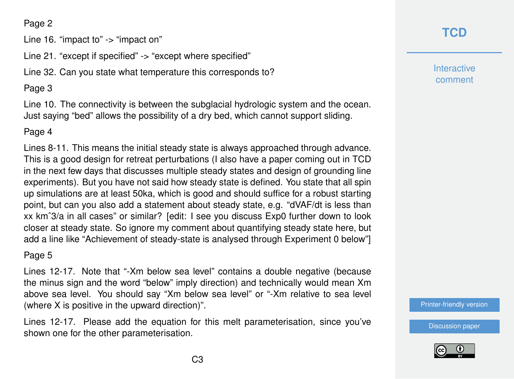#### Page 2

Line 16. "impact to" -> "impact on"

Line 21. "except if specified" -> "except where specified"

Line 32. Can you state what temperature this corresponds to?

### Page 3

Line 10. The connectivity is between the subglacial hydrologic system and the ocean. Just saying "bed" allows the possibility of a dry bed, which cannot support sliding.

#### Page 4

Lines 8-11. This means the initial steady state is always approached through advance. This is a good design for retreat perturbations (I also have a paper coming out in TCD in the next few days that discusses multiple steady states and design of grounding line experiments). But you have not said how steady state is defined. You state that all spin up simulations are at least 50ka, which is good and should suffice for a robust starting point, but can you also add a statement about steady state, e.g. "dVAF/dt is less than xx kmˆ3/a in all cases" or similar? [edit: I see you discuss Exp0 further down to look closer at steady state. So ignore my comment about quantifying steady state here, but add a line like "Achievement of steady-state is analysed through Experiment 0 below"]

#### Page 5

Lines 12-17. Note that "-Xm below sea level" contains a double negative (because the minus sign and the word "below" imply direction) and technically would mean Xm above sea level. You should say "Xm below sea level" or "-Xm relative to sea level (where X is positive in the upward direction)".

Lines 12-17. Please add the equation for this melt parameterisation, since you've shown one for the other parameterisation.

# **[TCD](https://www.the-cryosphere-discuss.net/)**

**Interactive** comment

[Printer-friendly version](https://www.the-cryosphere-discuss.net/tc-2018-117/tc-2018-117-RC1-print.pdf)

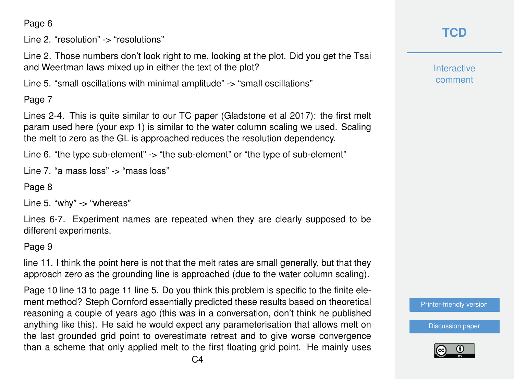Page 6

Line 2. "resolution" -> "resolutions"

Line 2. Those numbers don't look right to me, looking at the plot. Did you get the Tsai and Weertman laws mixed up in either the text of the plot?

Line 5. "small oscillations with minimal amplitude" -> "small oscillations"

Page 7

Lines 2-4. This is quite similar to our TC paper (Gladstone et al 2017): the first melt param used here (your exp 1) is similar to the water column scaling we used. Scaling the melt to zero as the GL is approached reduces the resolution dependency.

Line 6. "the type sub-element" -> "the sub-element" or "the type of sub-element"

Line 7. "a mass loss" -> "mass loss"

Page 8

Line 5. "why" -> "whereas"

Lines 6-7. Experiment names are repeated when they are clearly supposed to be different experiments.

Page 9

line 11. I think the point here is not that the melt rates are small generally, but that they approach zero as the grounding line is approached (due to the water column scaling).

Page 10 line 13 to page 11 line 5. Do you think this problem is specific to the finite element method? Steph Cornford essentially predicted these results based on theoretical reasoning a couple of years ago (this was in a conversation, don't think he published anything like this). He said he would expect any parameterisation that allows melt on the last grounded grid point to overestimate retreat and to give worse convergence than a scheme that only applied melt to the first floating grid point. He mainly uses

# **[TCD](https://www.the-cryosphere-discuss.net/)**

**Interactive** comment

[Printer-friendly version](https://www.the-cryosphere-discuss.net/tc-2018-117/tc-2018-117-RC1-print.pdf)

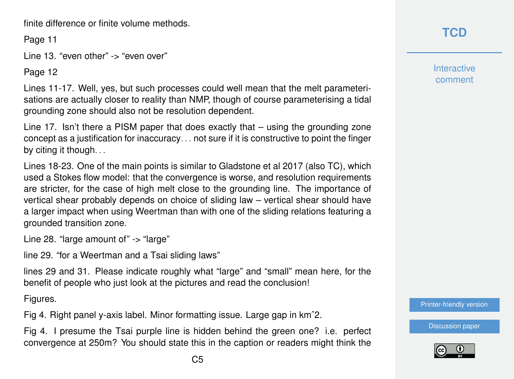finite difference or finite volume methods.

Page 11

Line 13. "even other" -> "even over"

Page 12

Lines 11-17. Well, yes, but such processes could well mean that the melt parameterisations are actually closer to reality than NMP, though of course parameterising a tidal grounding zone should also not be resolution dependent.

Line 17. Isn't there a PISM paper that does exactly that – using the grounding zone concept as a justification for inaccuracy. . . not sure if it is constructive to point the finger by citing it though...

Lines 18-23. One of the main points is similar to Gladstone et al 2017 (also TC), which used a Stokes flow model: that the convergence is worse, and resolution requirements are stricter, for the case of high melt close to the grounding line. The importance of vertical shear probably depends on choice of sliding law – vertical shear should have a larger impact when using Weertman than with one of the sliding relations featuring a grounded transition zone.

Line 28. "large amount of" -> "large"

line 29. "for a Weertman and a Tsai sliding laws"

lines 29 and 31. Please indicate roughly what "large" and "small" mean here, for the benefit of people who just look at the pictures and read the conclusion!

Figures.

Fig 4. Right panel y-axis label. Minor formatting issue. Large gap in kmˆ2.

Fig 4. I presume the Tsai purple line is hidden behind the green one? i.e. perfect convergence at 250m? You should state this in the caption or readers might think the

**Interactive** comment

[Printer-friendly version](https://www.the-cryosphere-discuss.net/tc-2018-117/tc-2018-117-RC1-print.pdf)